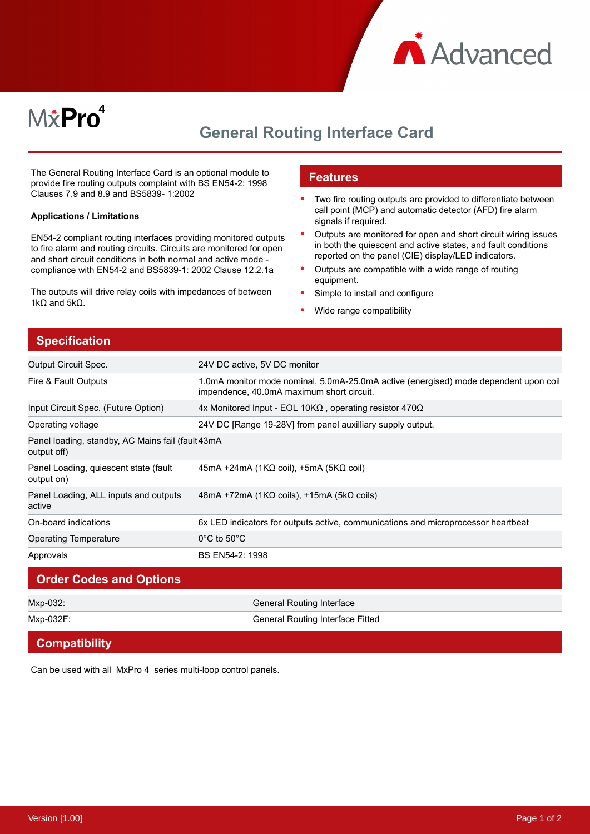



## **General Routing Interface Card**

The General Routing Interface Card is an optional module to provide fire routing outputs complaint with BS EN54-2: 1998 Clauses 7.9 and 8.9 and BS5839- 1:2002

#### **Applications / Limitations**

EN54-2 compliant routing interfaces providing monitored outputs to fire alarm and routing circuits. Circuits are monitored for open and short circuit conditions in both normal and active mode compliance with EN54-2 and BS5839-1: 2002 Clause 12.2.1a

The outputs will drive relay coils with impedances of between 1kΩ and  $5kΩ$ .

#### **Features**

- Two fire routing outputs are provided to differentiate between call point (MCP) and automatic detector (AFD) fire alarm signals if required.
- Outputs are monitored for open and short circuit wiring issues in both the quiescent and active states, and fault conditions reported on the panel (CIE) display/LED indicators.
- $\bullet$ Outputs are compatible with a wide range of routing equipment.
- Simple to install and configure
- Wide range compatibility

#### **Specification**

| <b>Output Circuit Spec.</b>                                       | 24V DC active, 5V DC monitor                                                                                                      |
|-------------------------------------------------------------------|-----------------------------------------------------------------------------------------------------------------------------------|
| Fire & Fault Outputs                                              | 1.0mA monitor mode nominal, 5.0mA-25.0mA active (energised) mode dependent upon coil<br>impendence, 40.0mA maximum short circuit. |
| Input Circuit Spec. (Future Option)                               | 4x Monitored Input - EOL 10K $\Omega$ , operating resistor 470 $\Omega$                                                           |
| Operating voltage                                                 | 24V DC [Range 19-28V] from panel auxilliary supply output.                                                                        |
| Panel loading, standby, AC Mains fail (fault 43mA)<br>output off) |                                                                                                                                   |
| Panel Loading, quiescent state (fault<br>output on)               | $45mA + 24mA (1K\Omega coil)$ , +5mA (5K $\Omega$ coil)                                                                           |
| Panel Loading, ALL inputs and outputs<br>active                   | 48mA +72mA (1KΩ coils), +15mA (5kΩ coils)                                                                                         |
| On-board indications                                              | 6x LED indicators for outputs active, communications and microprocessor heartbeat                                                 |
| <b>Operating Temperature</b>                                      | $0^{\circ}$ C to 50 $^{\circ}$ C                                                                                                  |
| Approvals                                                         | BS EN54-2: 1998                                                                                                                   |

# **Order Codes and Options** Mxp-032: General Routing Interface Mxp-032F: General Routing Interface Fitted

## **Compatibility**

Can be used with all MxPro 4 series multi-loop control panels.